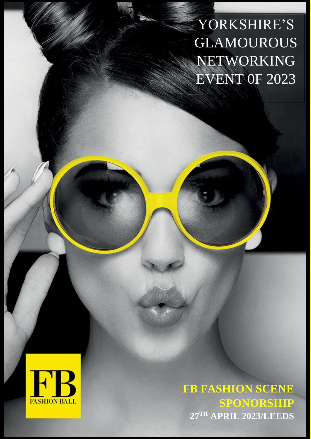YORKSHIRE'S GLAMOUROUS NETWORKING EVENT 0F 2023



**FB FASHION SCENE SPONORSHIP 27TH APRIL 2023/LEEDS**